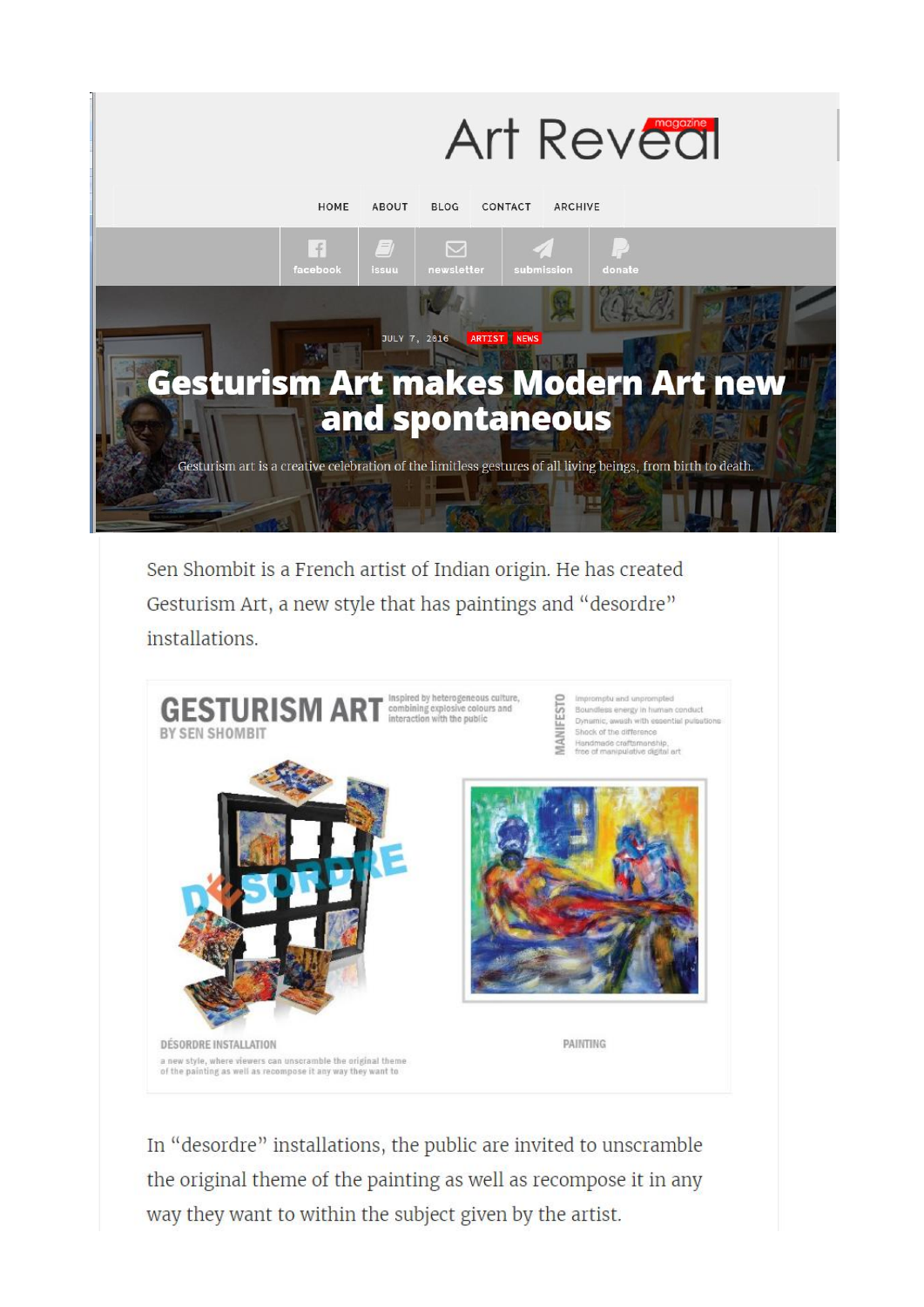

Sen Shombit is a French artist of Indian origin. He has created Gesturism Art, a new style that has paintings and "desordre" installations.



In "desordre" installations, the public are invited to unscramble the original theme of the painting as well as recompose it in any way they want to within the subject given by the artist.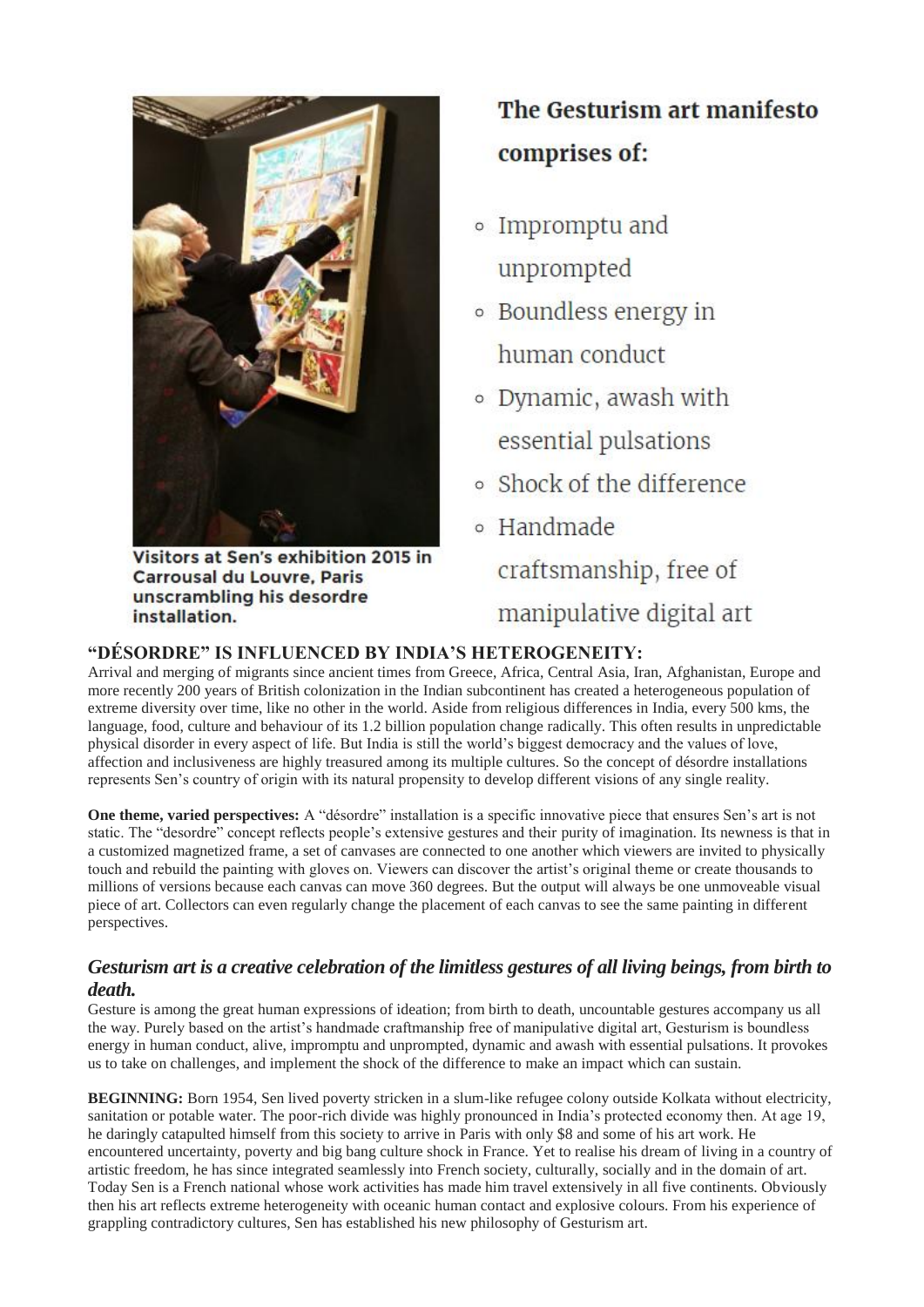

Visitors at Sen's exhibition 2015 in **Carrousal du Louvre, Paris** unscrambling his desordre installation.

## The Gesturism art manifesto comprises of:

- o Impromptu and unprompted
- Boundless energy in human conduct
- · Dynamic, awash with essential pulsations
- Shock of the difference
- <sup>o</sup> Handmade craftsmanship, free of manipulative digital art

## **"DÉSORDRE" IS INFLUENCED BY INDIA'S HETEROGENEITY:**

Arrival and merging of migrants since ancient times from Greece, Africa, Central Asia, Iran, Afghanistan, Europe and more recently 200 years of British colonization in the Indian subcontinent has created a heterogeneous population of extreme diversity over time, like no other in the world. Aside from religious differences in India, every 500 kms, the language, food, culture and behaviour of its 1.2 billion population change radically. This often results in unpredictable physical disorder in every aspect of life. But India is still the world's biggest democracy and the values of love, affection and inclusiveness are highly treasured among its multiple cultures. So the concept of désordre installations represents Sen's country of origin with its natural propensity to develop different visions of any single reality.

**One theme, varied perspectives:** A "désordre" installation is a specific innovative piece that ensures Sen's art is not static. The "desordre" concept reflects people's extensive gestures and their purity of imagination. Its newness is that in a customized magnetized frame, a set of canvases are connected to one another which viewers are invited to physically touch and rebuild the painting with gloves on. Viewers can discover the artist's original theme or create thousands to millions of versions because each canvas can move 360 degrees. But the output will always be one unmoveable visual piece of art. Collectors can even regularly change the placement of each canvas to see the same painting in different perspectives.

## *Gesturism art is a creative celebration of the limitless gestures of all living beings, from birth to death.*

Gesture is among the great human expressions of ideation; from birth to death, uncountable gestures accompany us all the way. Purely based on the artist's handmade craftmanship free of manipulative digital art, Gesturism is boundless energy in human conduct, alive, impromptu and unprompted, dynamic and awash with essential pulsations. It provokes us to take on challenges, and implement the shock of the difference to make an impact which can sustain.

**BEGINNING:** Born 1954, Sen lived poverty stricken in a slum-like refugee colony outside Kolkata without electricity, sanitation or potable water. The poor-rich divide was highly pronounced in India's protected economy then. At age 19, he daringly catapulted himself from this society to arrive in Paris with only \$8 and some of his art work. He encountered uncertainty, poverty and big bang culture shock in France. Yet to realise his dream of living in a country of artistic freedom, he has since integrated seamlessly into French society, culturally, socially and in the domain of art. Today Sen is a French national whose work activities has made him travel extensively in all five continents. Obviously then his art reflects extreme heterogeneity with oceanic human contact and explosive colours. From his experience of grappling contradictory cultures, Sen has established his new philosophy of Gesturism art.